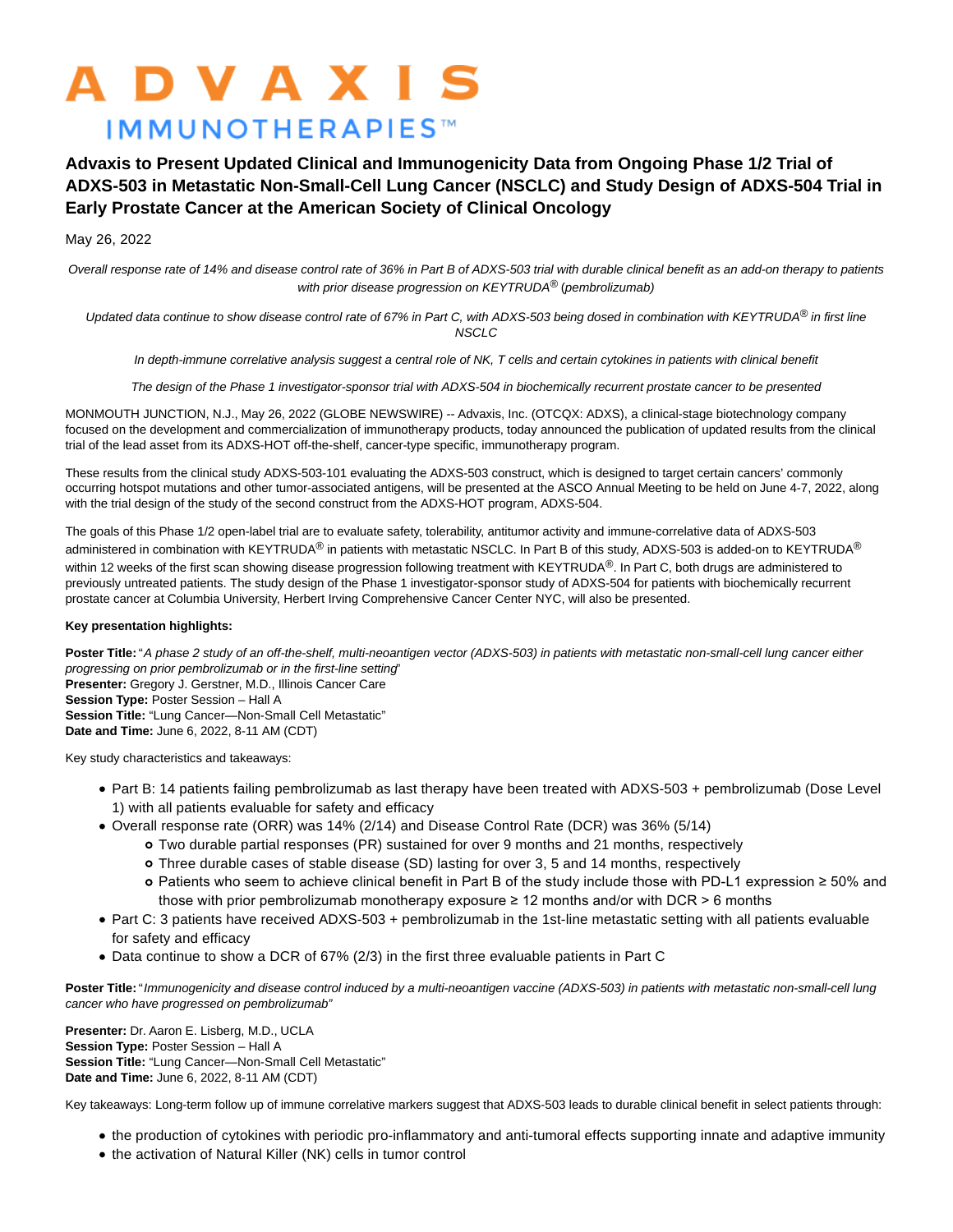# **ADVAXIS IMMUNOTHERAPIES™**

# **Advaxis to Present Updated Clinical and Immunogenicity Data from Ongoing Phase 1/2 Trial of ADXS-503 in Metastatic Non-Small-Cell Lung Cancer (NSCLC) and Study Design of ADXS-504 Trial in Early Prostate Cancer at the American Society of Clinical Oncology**

## May 26, 2022

Overall response rate of 14% and disease control rate of 36% in Part B of ADXS-503 trial with durable clinical benefit as an add-on therapy to patients with prior disease progression on KEYTRUDA® (pembrolizumab)

Updated data continue to show disease control rate of 67% in Part C, with ADXS-503 being dosed in combination with KEYTRUDA<sup>®</sup> in first line NSCLC

In depth-immune correlative analysis suggest a central role of NK, T cells and certain cytokines in patients with clinical benefit

The design of the Phase 1 investigator-sponsor trial with ADXS-504 in biochemically recurrent prostate cancer to be presented

MONMOUTH JUNCTION, N.J., May 26, 2022 (GLOBE NEWSWIRE) -- Advaxis, Inc. (OTCQX: ADXS), a clinical-stage biotechnology company focused on the development and commercialization of immunotherapy products, today announced the publication of updated results from the clinical trial of the lead asset from its ADXS-HOT off-the-shelf, cancer-type specific, immunotherapy program.

These results from the clinical study ADXS-503-101 evaluating the ADXS-503 construct, which is designed to target certain cancers' commonly occurring hotspot mutations and other tumor-associated antigens, will be presented at the ASCO Annual Meeting to be held on June 4-7, 2022, along with the trial design of the study of the second construct from the ADXS-HOT program, ADXS-504.

The goals of this Phase 1/2 open-label trial are to evaluate safety, tolerability, antitumor activity and immune-correlative data of ADXS-503 administered in combination with KEYTRUDA<sup>®</sup> in patients with metastatic NSCLC. In Part B of this study, ADXS-503 is added-on to KEYTRUDA<sup>®</sup> within 12 weeks of the first scan showing disease progression following treatment with KEYTRUDA<sup>®</sup>. In Part C, both drugs are administered to previously untreated patients. The study design of the Phase 1 investigator-sponsor study of ADXS-504 for patients with biochemically recurrent prostate cancer at Columbia University, Herbert Irving Comprehensive Cancer Center NYC, will also be presented.

### **Key presentation highlights:**

Poster Title: "A phase 2 study of an off-the-shelf, multi-neoantigen vector (ADXS-503) in patients with metastatic non-small-cell lung cancer either progressing on prior pembrolizumab or in the first-line setting" **Presenter:** Gregory J. Gerstner, M.D., Illinois Cancer Care **Session Type:** Poster Session – Hall A **Session Title:** "Lung Cancer—Non-Small Cell Metastatic" **Date and Time:** June 6, 2022, 8-11 AM (CDT)

Key study characteristics and takeaways:

- Part B: 14 patients failing pembrolizumab as last therapy have been treated with ADXS-503 + pembrolizumab (Dose Level 1) with all patients evaluable for safety and efficacy
- Overall response rate (ORR) was 14% (2/14) and Disease Control Rate (DCR) was 36% (5/14)
	- Two durable partial responses (PR) sustained for over 9 months and 21 months, respectively
	- Three durable cases of stable disease (SD) lasting for over 3, 5 and 14 months, respectively
	- Patients who seem to achieve clinical benefit in Part B of the study include those with PD-L1 expression ≥ 50% and those with prior pembrolizumab monotherapy exposure  $\geq 12$  months and/or with DCR > 6 months
- Part C: 3 patients have received ADXS-503 + pembrolizumab in the 1st-line metastatic setting with all patients evaluable for safety and efficacy
- Data continue to show a DCR of 67% (2/3) in the first three evaluable patients in Part C

Poster Title: "Immunogenicity and disease control induced by a multi-neoantigen vaccine (ADXS-503) in patients with metastatic non-small-cell lung cancer who have progressed on pembrolizumab"

**Presenter:** Dr. Aaron E. Lisberg, M.D., UCLA **Session Type:** Poster Session – Hall A **Session Title:** "Lung Cancer—Non-Small Cell Metastatic" **Date and Time:** June 6, 2022, 8-11 AM (CDT)

Key takeaways: Long-term follow up of immune correlative markers suggest that ADXS-503 leads to durable clinical benefit in select patients through:

- the production of cytokines with periodic pro-inflammatory and anti-tumoral effects supporting innate and adaptive immunity
- the activation of Natural Killer (NK) cells in tumor control